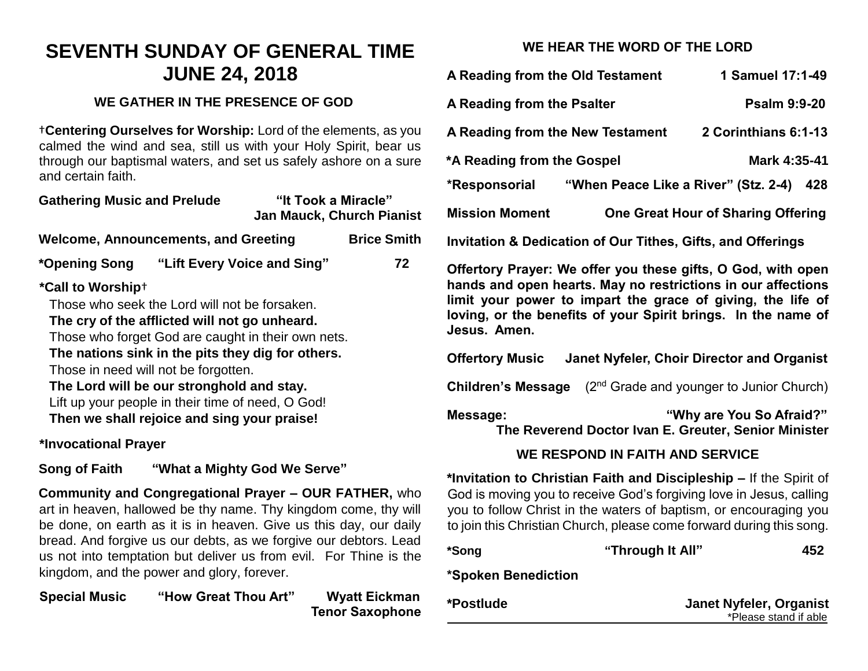# **SEVENTH SUNDAY OF GENERAL TIME JUNE 24, 2018**

## **WE GATHER IN THE PRESENCE OF GOD**

†**Centering Ourselves for Worship:** Lord of the elements, as you calmed the wind and sea, still us with your Holy Spirit, bear us through our baptismal waters, and set us safely ashore on a sure and certain faith.

| <b>Gathering Music and Prelude</b>                           |  | "It Took a Miracle"<br><b>Jan Mauck, Church Pianist</b> |    |  |
|--------------------------------------------------------------|--|---------------------------------------------------------|----|--|
| Welcome, Announcements, and Greeting                         |  | <b>Brice Smith</b>                                      |    |  |
| *Opening Song "Lift Every Voice and Sing"                    |  |                                                         | 72 |  |
| *Call to Worship+                                            |  |                                                         |    |  |
| Those who seek the Lord will not be forsaken.                |  |                                                         |    |  |
| The cry of the afflicted will not go unheard.                |  |                                                         |    |  |
| Those who forget God are caught in their own nets.           |  |                                                         |    |  |
| The nations sink in the pits they dig for others.            |  |                                                         |    |  |
| Those in need will not be forgotten.                         |  |                                                         |    |  |
| The Lord will be our stronghold and stay.                    |  |                                                         |    |  |
| Lift up your people in their time of need, O God!            |  |                                                         |    |  |
| Then we shall rejoice and sing your praise!                  |  |                                                         |    |  |
| *Invocational Prayer                                         |  |                                                         |    |  |
|                                                              |  |                                                         |    |  |
| <b>Community and Congregational Prayer - OUR FATHER, who</b> |  |                                                         |    |  |

art in heaven, hallowed be thy name. Thy kingdom come, thy will be done, on earth as it is in heaven. Give us this day, our daily bread. And forgive us our debts, as we forgive our debtors. Lead us not into temptation but deliver us from evil. For Thine is the kingdom, and the power and glory, forever.

| Special Music | "How Great Thou Art" | <b>Wyatt Eickman</b>   |
|---------------|----------------------|------------------------|
|               |                      | <b>Tenor Saxophone</b> |

# **WE HEAR THE WORD OF THE LORD**

| A Reading from the Old Testament                            |                                           | 1 Samuel 17:1-49     |  |  |
|-------------------------------------------------------------|-------------------------------------------|----------------------|--|--|
| A Reading from the Psalter                                  |                                           | <b>Psalm 9:9-20</b>  |  |  |
| A Reading from the New Testament                            |                                           | 2 Corinthians 6:1-13 |  |  |
| *A Reading from the Gospel                                  |                                           | Mark 4:35-41         |  |  |
| *Responsorial                                               | "When Peace Like a River" (Stz. 2-4)      | 428                  |  |  |
| <b>Mission Moment</b>                                       | <b>One Great Hour of Sharing Offering</b> |                      |  |  |
| Invitation & Dedication of Our Tithes, Gifts, and Offerings |                                           |                      |  |  |

**Offertory Prayer: We offer you these gifts, O God, with open hands and open hearts. May no restrictions in our affections limit your power to impart the grace of giving, the life of loving, or the benefits of your Spirit brings. In the name of Jesus. Amen.**

**Offertory Music Janet Nyfeler, Choir Director and Organist**

**Children's Message** (2<sup>nd</sup> Grade and younger to Junior Church)

**Message: "Why are You So Afraid?" The Reverend Doctor Ivan E. Greuter, Senior Minister**

## **WE RESPOND IN FAITH AND SERVICE**

**\*Invitation to Christian Faith and Discipleship –** If the Spirit of God is moving you to receive God's forgiving love in Jesus, calling you to follow Christ in the waters of baptism, or encouraging you to join this Christian Church, please come forward during this song.

**\*Song "Through It All" 452** 

**\*Spoken Benediction**

**\*Postlude Janet Nyfeler, Organist** \*Please stand if able